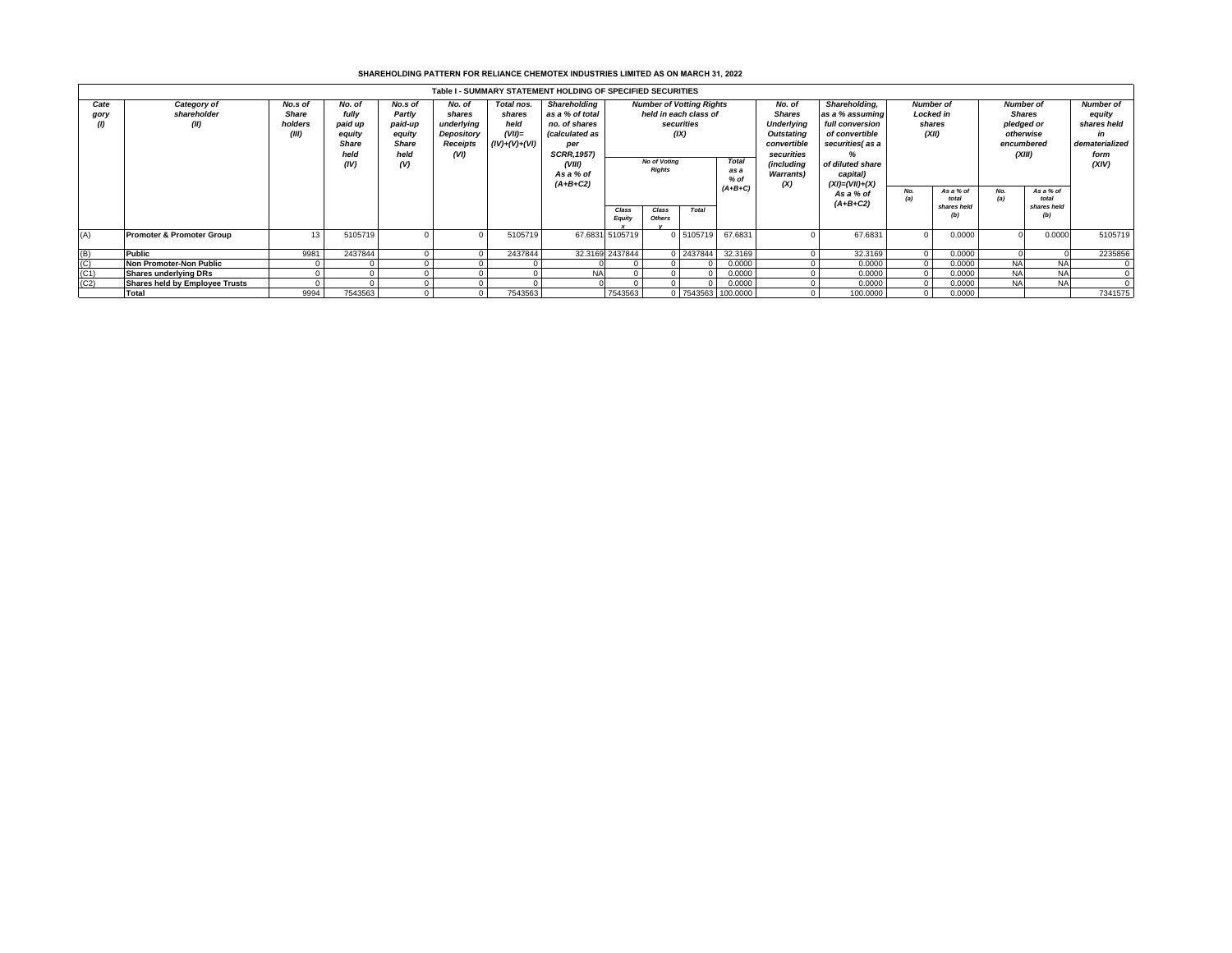## **SHAREHOLDING PATTERN FOR RELIANCE CHEMOTEX INDUSTRIES LIMITED AS ON MARCH 31, 2022**

|              | Table I - SUMMARY STATEMENT HOLDING OF SPECIFIED SECURITIES |                                             |                                                                      |                                                                       |                                                                         |                                                              |                                                                                                                                             |                                                                                                                        |                        |           |                                |  |                                                                                                                                                       |                                                         |                                          |                                                                                      |                                          |                                                                                    |  |
|--------------|-------------------------------------------------------------|---------------------------------------------|----------------------------------------------------------------------|-----------------------------------------------------------------------|-------------------------------------------------------------------------|--------------------------------------------------------------|---------------------------------------------------------------------------------------------------------------------------------------------|------------------------------------------------------------------------------------------------------------------------|------------------------|-----------|--------------------------------|--|-------------------------------------------------------------------------------------------------------------------------------------------------------|---------------------------------------------------------|------------------------------------------|--------------------------------------------------------------------------------------|------------------------------------------|------------------------------------------------------------------------------------|--|
| Cate<br>gory | Category of<br>shareholder<br>(II)                          | No.s of<br><b>Share</b><br>holders<br>(III) | No. of<br>fully<br>paid up<br>equity<br><b>Share</b><br>held<br>(IV) | No.s of<br>Partly<br>paid-up<br>equity<br><b>Share</b><br>held<br>(V) | No. of<br>shares<br>underlying<br>Depository<br><b>Receipts</b><br>(VI) | Total nos.<br>shares<br>held<br>$(VII)$ =<br>$(IV)+(V)+(VI)$ | <b>Shareholding</b><br>as a % of total<br>no. of shares<br>(calculated as<br>per<br><b>SCRR, 1957)</b><br>(VIII)<br>As a % of<br>$(A+B+C2)$ | <b>Number of Votting Rights</b><br>held in each class of<br>securities<br>(IX)<br><b>No of Voting</b><br><b>Rights</b> |                        |           | <b>Total</b><br>as a<br>$%$ of |  | Shareholding.<br>as a % assuming<br>full conversion<br>of convertible<br>securities(as a<br>‰<br>of diluted share<br>capital)<br>$(XI) = (VII) + (X)$ | <b>Number of</b><br><b>Locked in</b><br>shares<br>(XII) |                                          | <b>Number of</b><br><b>Shares</b><br>pledged or<br>otherwise<br>encumbered<br>(XIII) |                                          | <b>Number of</b><br>equity<br>shares held<br>in<br>dematerialized<br>form<br>(XIV) |  |
|              |                                                             |                                             |                                                                      |                                                                       |                                                                         |                                                              |                                                                                                                                             | Class<br><b>Equity</b>                                                                                                 | Class<br><b>Others</b> | Total     | $(A+B+C)$                      |  | As a % of<br>$(A+B+C2)$                                                                                                                               | No.<br>(a)                                              | As a % of<br>total<br>shares held<br>(b) | No.<br>(a)                                                                           | As a % of<br>total<br>shares held<br>(b) |                                                                                    |  |
| (A)          | <b>Promoter &amp; Promoter Group</b>                        | 13                                          | 5105719                                                              |                                                                       |                                                                         | 5105719                                                      |                                                                                                                                             | 67.6831 5105719                                                                                                        |                        | 0 5105719 | 67.6831                        |  | 67.6831                                                                                                                                               |                                                         | 0.0000                                   |                                                                                      | 0.0000                                   | 5105719                                                                            |  |
| (B)          | Public                                                      | 9981                                        | 2437844                                                              |                                                                       |                                                                         | 2437844                                                      |                                                                                                                                             | 32.3169 2437844                                                                                                        |                        | 0 2437844 | 32.3169                        |  | 32.3169                                                                                                                                               |                                                         | 0.0000                                   |                                                                                      |                                          | 2235856                                                                            |  |
| (C)          | <b>Non Promoter-Non Public</b>                              |                                             |                                                                      |                                                                       |                                                                         |                                                              |                                                                                                                                             |                                                                                                                        |                        |           | 0.0000                         |  | 0.0000                                                                                                                                                |                                                         | 0.0000                                   | <b>NA</b>                                                                            | <b>NAI</b>                               |                                                                                    |  |
| (C1)         | <b>Shares underlying DRs</b>                                |                                             |                                                                      |                                                                       |                                                                         |                                                              | N/                                                                                                                                          |                                                                                                                        |                        |           | 0.0000                         |  | 0.0000                                                                                                                                                |                                                         | 0.0000                                   | <b>NA</b>                                                                            | <b>NA</b>                                |                                                                                    |  |
| (C2)         | Shares held by Employee Trusts                              |                                             |                                                                      |                                                                       |                                                                         |                                                              |                                                                                                                                             |                                                                                                                        |                        |           | 0.0000                         |  | 0.0000                                                                                                                                                |                                                         | 0.0000                                   | <b>NA</b>                                                                            | <b>NA</b>                                |                                                                                    |  |
|              | <b>Total</b>                                                | 9994                                        | 7543563                                                              |                                                                       |                                                                         | 7543563                                                      |                                                                                                                                             | 7543563                                                                                                                |                        |           | 0 7543563 100.0000             |  | 100.0000                                                                                                                                              |                                                         | 0.0000                                   |                                                                                      |                                          | 7341575                                                                            |  |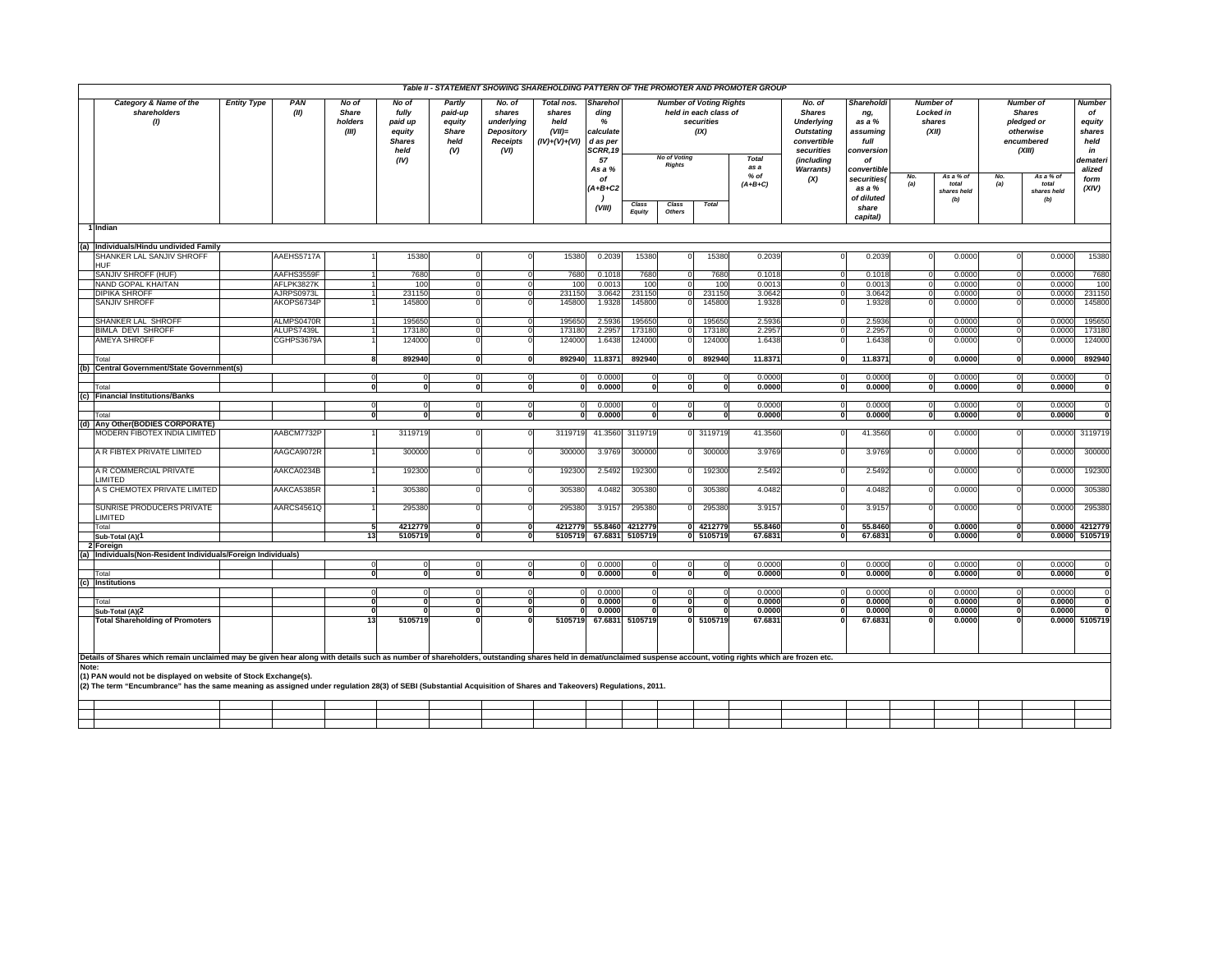|                                                                                                                                                                                                                                    |                    |             |                                    |                                                                      |                                                     | Table II - STATEMENT SHOWING SHAREHOLDING PATTERN OF THE PROMOTER AND PROMOTER GROUP |                                                             |                                                                  |                        |                     |                                                                               |                     |                                                                                                              |                                                                     |                                                         |                                          |                                                                               |                                          |                                                                  |
|------------------------------------------------------------------------------------------------------------------------------------------------------------------------------------------------------------------------------------|--------------------|-------------|------------------------------------|----------------------------------------------------------------------|-----------------------------------------------------|--------------------------------------------------------------------------------------|-------------------------------------------------------------|------------------------------------------------------------------|------------------------|---------------------|-------------------------------------------------------------------------------|---------------------|--------------------------------------------------------------------------------------------------------------|---------------------------------------------------------------------|---------------------------------------------------------|------------------------------------------|-------------------------------------------------------------------------------|------------------------------------------|------------------------------------------------------------------|
| Category & Name of the<br>shareholders<br>(1)                                                                                                                                                                                      | <b>Entity Type</b> | PAN<br>(II) | No of<br>Share<br>holders<br>(III) | No of<br>fully<br>paid up<br>equity<br><b>Shares</b><br>held<br>(IV) | Partly<br>paid-up<br>equity<br>Share<br>held<br>(V) | No. of<br>shares<br>underlying<br><b>Depository</b><br>Receipts<br>(VI)              | Total nos.<br>shares<br>held<br>$(VII)=$<br>$(IV)+(V)+(VI)$ | Sharehol<br>ding<br>%<br>calculate<br>d as per<br>SCRR, 19<br>57 |                        | <b>No of Voting</b> | <b>Number of Voting Rights</b><br>held in each class of<br>securities<br>(IX) | <b>Total</b>        | No. of<br><b>Shares</b><br><b>Underlying</b><br><b>Outstating</b><br>convertible<br>securities<br>(including | Shareholdi<br>ng,<br>as a %<br>assuming<br>full<br>conversion<br>of | <b>Number of</b><br><b>Locked in</b><br>shares<br>(XII) |                                          | Number of<br><b>Shares</b><br>pledged or<br>otherwise<br>encumbered<br>(XIII) |                                          | <b>Number</b><br>of<br>equity<br>shares<br>held<br>in<br>demater |
|                                                                                                                                                                                                                                    |                    |             |                                    |                                                                      |                                                     |                                                                                      |                                                             | As a %                                                           |                        | <b>Rights</b>       |                                                                               | as a                | <b>Warrants)</b>                                                                                             | convertible                                                         |                                                         |                                          |                                                                               |                                          | alized                                                           |
|                                                                                                                                                                                                                                    |                    |             |                                    |                                                                      |                                                     |                                                                                      |                                                             | of<br>'A+B+C2<br>(VIII)                                          | Class<br><b>Equity</b> | Class<br>Others     | <b>Total</b>                                                                  | $%$ of<br>$(A+B+C)$ | (X)                                                                                                          | securities(<br>as a %<br>of diluted<br>share<br>capital)            | No.<br>(a)                                              | As a % of<br>total<br>shares held<br>(b) | No.<br>(a)                                                                    | As a % of<br>total<br>shares held<br>(b) | form<br>(XIV)                                                    |
| 1 Indian                                                                                                                                                                                                                           |                    |             |                                    |                                                                      |                                                     |                                                                                      |                                                             |                                                                  |                        |                     |                                                                               |                     |                                                                                                              |                                                                     |                                                         |                                          |                                                                               |                                          |                                                                  |
|                                                                                                                                                                                                                                    |                    |             |                                    |                                                                      |                                                     |                                                                                      |                                                             |                                                                  |                        |                     |                                                                               |                     |                                                                                                              |                                                                     |                                                         |                                          |                                                                               |                                          |                                                                  |
| (a) Individuals/Hindu undivided Family<br>SHANKER LAL SANJIV SHROFF                                                                                                                                                                |                    | AAEHS5717A  |                                    | 15380                                                                | $\mathbf 0$                                         |                                                                                      | 15380                                                       | 0.2039                                                           | 15380                  | $\mathbf{0}$        | 15380                                                                         | 0.2039              | $\Omega$                                                                                                     | 0.2039                                                              | $\Omega$                                                | 0.0000                                   |                                                                               | 0.0000                                   | 15380                                                            |
| HUF                                                                                                                                                                                                                                |                    |             |                                    |                                                                      |                                                     |                                                                                      |                                                             |                                                                  |                        |                     |                                                                               |                     |                                                                                                              |                                                                     |                                                         |                                          |                                                                               |                                          |                                                                  |
| SANJIV SHROFF (HUF)                                                                                                                                                                                                                |                    | AAFHS3559F  |                                    | 7680                                                                 |                                                     | $\circ$<br>$\Omega$                                                                  | 7680                                                        | 0.1018                                                           | 7680                   | $\Omega$            | 7680                                                                          | 0.1018              | $\Omega$                                                                                                     | 0.1018                                                              | $\Omega$                                                | 0.0000                                   |                                                                               | 0.0000                                   | 7680                                                             |
| NAND GOPAL KHAITAN                                                                                                                                                                                                                 |                    | AFLPK3827K  |                                    | 100                                                                  |                                                     | $\circ$<br>$\Omega$                                                                  | 100                                                         | 0.0013                                                           | 100                    | $\Omega$            | 100                                                                           | 0.0013              | $\Omega$                                                                                                     | 0.0013                                                              | $\Omega$                                                | 0.0000                                   |                                                                               | 0.0000                                   | 100                                                              |
| <b>DIPIKA SHROFF</b>                                                                                                                                                                                                               |                    | AJRPS0973L  | $\blacksquare$                     | 231150                                                               | $\Omega$                                            | $\Omega$                                                                             | 231150                                                      | 3.0642                                                           | 231150                 | $\mathsf{O}$        | 231150                                                                        | 3.0642              | $\Omega$                                                                                                     | 3.0642                                                              | $\Omega$                                                | 0.0000                                   |                                                                               | 0.0000                                   | 231150                                                           |
| SANJIV SHROFF                                                                                                                                                                                                                      |                    | AKOPS6734P  |                                    | 145800                                                               | $\Omega$                                            |                                                                                      | 145800                                                      | 1.9328                                                           | 145800                 | $\Omega$            | 145800                                                                        | 1.9328              | $\Omega$                                                                                                     | 1.9328                                                              |                                                         | 0.0000                                   |                                                                               | 0.0000                                   | 145800                                                           |
| SHANKER LAL SHROFF                                                                                                                                                                                                                 |                    | ALMPS0470R  |                                    | 195650                                                               |                                                     | $\circ$<br>$\Omega$                                                                  | 195650                                                      | 2.5936                                                           | 195650                 | $\Omega$            | 195650                                                                        | 2.5936              | $\Omega$                                                                                                     | 2.5936                                                              | $\Omega$                                                | 0.0000                                   |                                                                               | 0.0000                                   | 195650                                                           |
| BIMLA DEVI SHROFF                                                                                                                                                                                                                  |                    | ALUPS7439L  |                                    | 173180                                                               | $\mathbf 0$                                         | $\Omega$                                                                             | 173180                                                      | 2.2957                                                           | 173180                 | $\mathbf{0}$        | 173180                                                                        | 2.2957              | $\Omega$                                                                                                     | 2.2957                                                              | $\Omega$                                                | 0.0000                                   |                                                                               | 0.0000                                   | 173180                                                           |
| AMEYA SHROFF                                                                                                                                                                                                                       |                    | CGHPS3679A  |                                    | 124000                                                               | $\Omega$                                            |                                                                                      | 124000                                                      | 1.6438                                                           | 124000                 | $\Omega$            | 124000                                                                        | 1.6438              | $\Omega$                                                                                                     | 1.6438                                                              |                                                         | 0.0000                                   |                                                                               | 0.0000                                   | 124000                                                           |
| Total                                                                                                                                                                                                                              |                    |             | 8                                  | 892940                                                               |                                                     | $\mathbf{0}$<br>0                                                                    | 892940                                                      | 11.8371                                                          | 892940                 |                     | 0 892940                                                                      | 11.8371             | $\mathbf{0}$                                                                                                 | 11.8371                                                             | $\mathbf{0}$                                            | 0.0000                                   | $\mathbf{0}$                                                                  | 0.0000                                   | 892940                                                           |
| (b) Central Government/State Government(s)                                                                                                                                                                                         |                    |             |                                    |                                                                      |                                                     |                                                                                      |                                                             |                                                                  |                        |                     |                                                                               |                     |                                                                                                              |                                                                     |                                                         |                                          |                                                                               |                                          |                                                                  |
|                                                                                                                                                                                                                                    |                    |             | $\Omega$                           | $\Omega$                                                             |                                                     | $\circ$<br>$\Omega$                                                                  |                                                             | 0.0000                                                           | $\Omega$               |                     | $\Omega$                                                                      | 0.0000              | $\circ$                                                                                                      | 0.0000                                                              | $\Omega$                                                | 0.0000                                   | $\Omega$                                                                      | 0.0000                                   |                                                                  |
| Total                                                                                                                                                                                                                              |                    |             | o١                                 | 0                                                                    |                                                     | 0<br>0l                                                                              | οl                                                          | 0.0000                                                           | $\bf{0}$               | <sub>0</sub>        | $\bf{0}$                                                                      | 0.0000              | $\mathbf 0$                                                                                                  | 0.0000                                                              | $\mathbf{0}$                                            | 0.0000                                   | $\mathbf{0}$                                                                  | 0.0000                                   |                                                                  |
| (c) Financial Institutions/Banks                                                                                                                                                                                                   |                    |             | 0                                  | $\circ$                                                              |                                                     | $\circ$<br>$\circ$                                                                   | $\overline{0}$                                              | 0.0000                                                           | $\circ$                | $\mathbf{0}$        | $\mathbf 0$                                                                   | 0.0000              | $\circ$                                                                                                      | 0.0000                                                              | $\overline{0}$                                          | 0.0000                                   | $\Omega$                                                                      | 0.0000                                   |                                                                  |
| Total                                                                                                                                                                                                                              |                    |             | 0                                  | 0                                                                    |                                                     | 0<br>0l                                                                              | οl                                                          | 0.0000                                                           | 0                      | 0                   | $\bf{0}$                                                                      | 0.0000              | $\bf{0}$                                                                                                     | 0.0000                                                              | $\mathbf{0}$                                            | 0.0000                                   | $\mathbf{0}$                                                                  | 0.0000                                   |                                                                  |
| (d) Any Other(BODIES CORPORATE)                                                                                                                                                                                                    |                    |             |                                    |                                                                      |                                                     |                                                                                      |                                                             |                                                                  |                        |                     |                                                                               |                     |                                                                                                              |                                                                     |                                                         |                                          |                                                                               |                                          |                                                                  |
| MODERN FIBOTEX INDIA LIMITED                                                                                                                                                                                                       |                    | AABCM7732P  |                                    | 3119719                                                              | $\mathbf 0$                                         | $\Omega$                                                                             | 3119719                                                     |                                                                  | 41.3560 3119719        |                     | 0 3119719                                                                     | 41.3560             | $\Omega$                                                                                                     | 41.3560                                                             | - 0                                                     | 0.0000                                   | ſ                                                                             |                                          | 0.0000 3119719                                                   |
| A R FIBTEX PRIVATE LIMITED                                                                                                                                                                                                         |                    | AAGCA9072R  |                                    | 300000                                                               |                                                     | $\Omega$                                                                             | 300000                                                      | 3.9769                                                           | 300000                 | o١                  | 300000                                                                        | 3.9769              | $\Omega$                                                                                                     | 3.9769                                                              |                                                         | 0.0000                                   |                                                                               | 0.0000                                   | 300000                                                           |
| A R COMMERCIAL PRIVATE<br>LIMITED                                                                                                                                                                                                  |                    | AAKCA0234B  |                                    | 192300                                                               | $\Omega$                                            |                                                                                      | 192300                                                      | 2.5492                                                           | 192300                 |                     | 192300                                                                        | 2.5492              |                                                                                                              | 2.5492                                                              |                                                         | 0.0000                                   |                                                                               | 0.0000                                   | 192300                                                           |
| A S CHEMOTEX PRIVATE LIMITED                                                                                                                                                                                                       |                    | AAKCA5385R  |                                    | 305380                                                               | $\Omega$                                            |                                                                                      | 305380                                                      | 4.0482                                                           | 305380                 |                     | 305380                                                                        | 4.0482              |                                                                                                              | 4.0482                                                              |                                                         | 0.0000                                   |                                                                               | 0.0000                                   | 305380                                                           |
| SUNRISE PRODUCERS PRIVATE                                                                                                                                                                                                          |                    | AARCS4561Q  |                                    | 295380                                                               |                                                     | $\Omega$                                                                             | 295380                                                      | 3.9157                                                           | 295380                 | nl                  | 295380                                                                        | 3.9157              | $\Omega$                                                                                                     | 3.9157                                                              |                                                         | 0.0000                                   |                                                                               | 0.0000                                   | 295380                                                           |
| LIMITED<br>Total                                                                                                                                                                                                                   |                    |             | 5                                  | 4212779                                                              |                                                     | 0 <br>$\Omega$                                                                       | 4212779                                                     |                                                                  | 55.8460 4212779        |                     | 0 4212779                                                                     | 55.8460             | $\mathbf 0$                                                                                                  | 55.8460                                                             | $\Omega$                                                | 0.0000                                   | $\Omega$                                                                      |                                          | 0.0000 4212779                                                   |
| Sub-Total (A)(1                                                                                                                                                                                                                    |                    |             | 13                                 | 5105719                                                              |                                                     | 0<br>$\mathbf{0}$                                                                    | 5105719                                                     |                                                                  | 67.6831 5105719        |                     | 0 5105719                                                                     | 67.6831             | $\mathbf 0$                                                                                                  | 67.6831                                                             | $\mathbf 0$                                             | 0.0000                                   | $\mathbf{0}$                                                                  |                                          | 0.0000 5105719                                                   |
| 2 Foreign                                                                                                                                                                                                                          |                    |             |                                    |                                                                      |                                                     |                                                                                      |                                                             |                                                                  |                        |                     |                                                                               |                     |                                                                                                              |                                                                     |                                                         |                                          |                                                                               |                                          |                                                                  |
| (a) Individuals (Non-Resident Individuals/Foreign Individuals)                                                                                                                                                                     |                    |             |                                    |                                                                      |                                                     |                                                                                      |                                                             |                                                                  |                        |                     |                                                                               |                     |                                                                                                              |                                                                     |                                                         |                                          |                                                                               |                                          |                                                                  |
|                                                                                                                                                                                                                                    |                    |             | $\overline{0}$                     | $\mathbf{0}$                                                         |                                                     | $\circ$<br>$\Omega$                                                                  | $\circ$                                                     | 0.0000                                                           | $\Omega$               | $\mathbf{0}$        | $\Omega$                                                                      | 0.0000              | $\circ$                                                                                                      | 0.0000                                                              | $\mathbf{0}$                                            | 0.0000                                   | $\Omega$                                                                      | 0.0000                                   |                                                                  |
| Total                                                                                                                                                                                                                              |                    |             | ol                                 | $\mathbf{0}$                                                         |                                                     | 0<br>0                                                                               | οl                                                          | 0.0000                                                           | οl                     | 0                   | $\bf{0}$                                                                      | 0.0000              | $\mathbf 0$                                                                                                  | 0.0000                                                              | o                                                       | 0.0000                                   | 0                                                                             | 0.0000                                   |                                                                  |
| (c) Institutions                                                                                                                                                                                                                   |                    |             |                                    |                                                                      |                                                     |                                                                                      |                                                             |                                                                  |                        |                     |                                                                               |                     |                                                                                                              |                                                                     |                                                         |                                          |                                                                               |                                          |                                                                  |
|                                                                                                                                                                                                                                    |                    |             | $\circ$                            | $\circ$                                                              |                                                     | $\circ$<br>$\Omega$                                                                  | $\Omega$                                                    | 0.0000                                                           | $\Omega$               | $\Omega$            | $\Omega$                                                                      | 0.0000              | $\circ$                                                                                                      | 0.0000                                                              | $\Omega$                                                | 0.0000                                   | $\Omega$                                                                      | 0.0000                                   |                                                                  |
| Total                                                                                                                                                                                                                              |                    |             | 0<br><sub>0</sub>                  | $\Omega$<br>$\Omega$                                                 | $\mathbf{0}$                                        | 0<br>$\mathbf 0$<br>0                                                                | $\Omega$<br>n                                               | 0.0000<br>0.0000                                                 | $\bf{0}$<br>$\Omega$   | 0l<br>0             | U<br>$\Omega$                                                                 | 0.0000<br>0.0000    | $\bf{0}$<br>$\bf{0}$                                                                                         | 0.0000                                                              | $\mathbf{0}$<br>$\mathbf{0}$                            | 0.0000<br>0.0000                         | $\Omega$                                                                      | 0.0000<br>0.0000                         |                                                                  |
| Sub-Total (A)(2<br><b>Total Shareholding of Promoters</b>                                                                                                                                                                          |                    |             | 13                                 | 5105719                                                              | $\mathbf 0$                                         | 0                                                                                    | 5105719                                                     |                                                                  | 67.6831 5105719        |                     | 0 5105719                                                                     | 67.6831             | $\mathbf{0}$                                                                                                 | 0.0000<br>67.6831                                                   | $\mathbf{0}$                                            | 0.0000                                   | $\Omega$                                                                      |                                          | 0.0000 5105719                                                   |
| Details of Shares which remain unclaimed may be given hear along with details such as number of shareholders, outstanding shares held in demat/unclaimed suspense account, voting rights which are frozen etc.<br>Note:            |                    |             |                                    |                                                                      |                                                     |                                                                                      |                                                             |                                                                  |                        |                     |                                                                               |                     |                                                                                                              |                                                                     |                                                         |                                          |                                                                               |                                          |                                                                  |
| (1) PAN would not be displayed on website of Stock Exchange(s).<br>(2) The term "Encumbrance" has the same meaning as assigned under regulation 28(3) of SEBI (Substantial Acquisition of Shares and Takeovers) Regulations, 2011. |                    |             |                                    |                                                                      |                                                     |                                                                                      |                                                             |                                                                  |                        |                     |                                                                               |                     |                                                                                                              |                                                                     |                                                         |                                          |                                                                               |                                          |                                                                  |
|                                                                                                                                                                                                                                    |                    |             |                                    |                                                                      |                                                     |                                                                                      |                                                             |                                                                  |                        |                     |                                                                               |                     |                                                                                                              |                                                                     |                                                         |                                          |                                                                               |                                          |                                                                  |
|                                                                                                                                                                                                                                    |                    |             |                                    |                                                                      |                                                     |                                                                                      |                                                             |                                                                  |                        |                     |                                                                               |                     |                                                                                                              |                                                                     |                                                         |                                          |                                                                               |                                          |                                                                  |